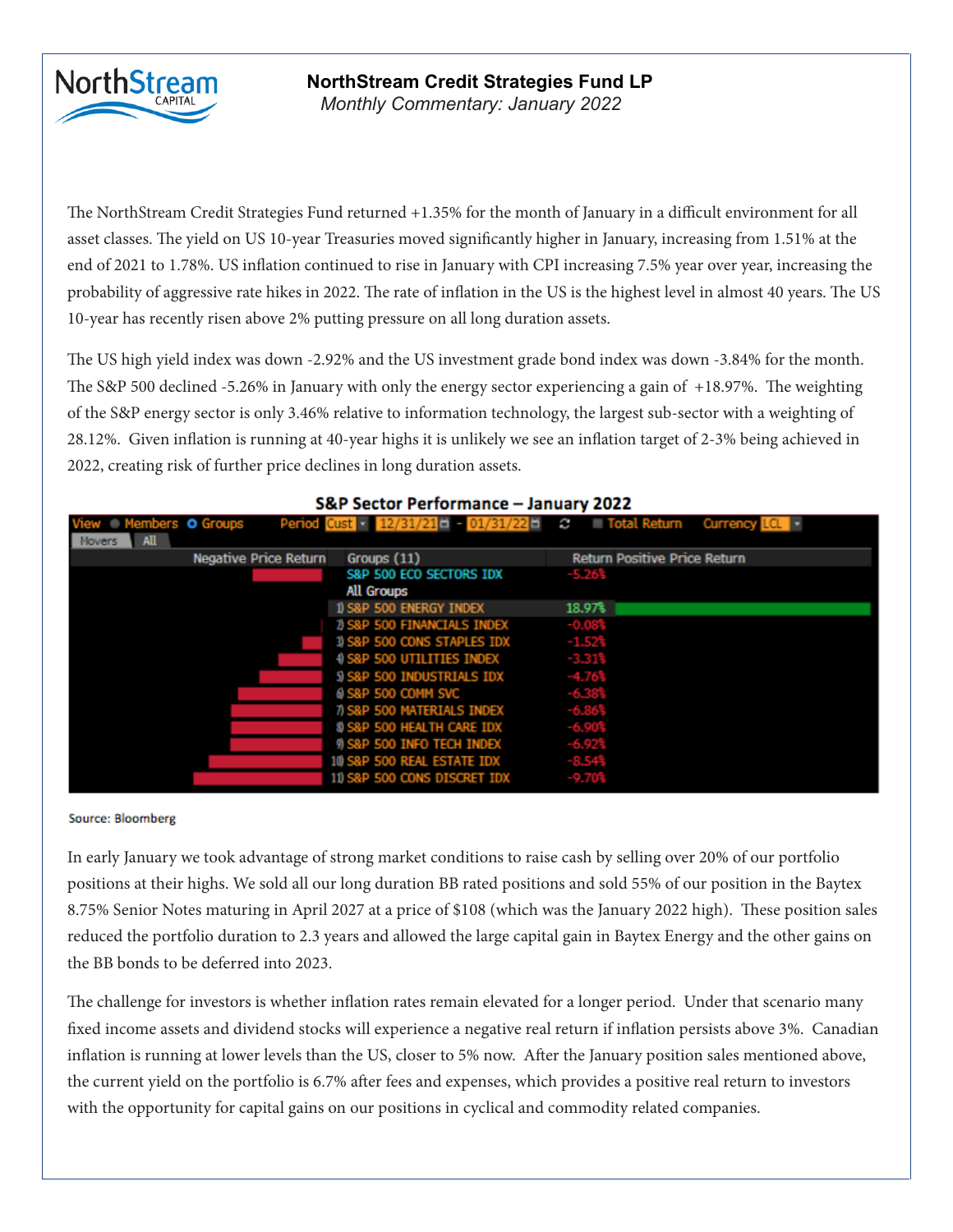

# **NorthStream Credit Strategies Fund LP**

*Monthly Commentary: September 2019 Monthly Commentary: January 2022*

The NorthStream Credit Strategies Fund returned +1.35% for the month of January in a difficult environment for all ent classes. The viold on US 10, year Treasuries moved significantly bigher in January increasing from 1,51% at the asset classes. The yield on US 10-year Treasuries moved significantly higher in January, increasing from 1.51% at the end of 2021 to 1.78%. US inflation continued to rise in January with CPI increasing 7.5% year over year, increasing the 10-year has recently risen above 2% putting pressure on all long duration assets.  $\frac{1}{\sqrt{2}}$  rated names that reaches positions were trading at large positions were trading at large premiums to  $\frac{1}{\sqrt{2}}$  or  $\frac{1}{\sqrt{2}}$  or  $\frac{1}{\sqrt{2}}$  or  $\frac{1}{\sqrt{2}}$  or  $\frac{1}{\sqrt{2}}$  or  $\frac{1}{\sqrt{2}}$  or  $\frac{1}{\sqrt{2}}$ probability of aggressive rate hikes in 2022. The rate of inflation in the US is the highest level in almost 40 years. The US

The US high yield index was down -2.92% and the US investment grade bond index was down -3.84% for the month. overall portfolio duration of 2.1 years. Our portfolio duration decreased from 2.3 years in August 2019. of the S&P energy sector is only 3.46% relative to information technology, the largest sub-sector with a weighting of 28.12%. Given inflation is running at 40-year highs it is unlikely we see an inflation target of 2-3% being achieved in  $\overline{c}$  continue with of further price declines in lang duration assets. 2022, creating risk of further price declines in long duration assets. The S&P 500 declined -5.26% in January with only the energy sector experiencing a gain of +18.97%. The weighting

| S&P Sector Performance - January 2022    |                              |                                                                     |                                     |  |  |  |  |  |  |  |  |
|------------------------------------------|------------------------------|---------------------------------------------------------------------|-------------------------------------|--|--|--|--|--|--|--|--|
| Members O Groups<br>All<br><b>Novers</b> |                              | Period Cust - $12/31/21$ - $01/31/22$ - $C$ - Total Return Currency |                                     |  |  |  |  |  |  |  |  |
|                                          | <b>Negative Price Return</b> | Groups (11)                                                         | <b>Return Positive Price Return</b> |  |  |  |  |  |  |  |  |
|                                          |                              | S&P 500 ECO SECTORS IDX<br>All Groups                               | $-5.26%$                            |  |  |  |  |  |  |  |  |
|                                          |                              | 1) S&P 500 ENERGY INDEX                                             | 18.97%                              |  |  |  |  |  |  |  |  |
|                                          |                              | 1) S&P 500 FINANCIALS INDEX                                         | $-0.083$                            |  |  |  |  |  |  |  |  |
|                                          |                              | 3) S&P 500 CONS STAPLES IDX                                         | $-1.52%$                            |  |  |  |  |  |  |  |  |
|                                          |                              | 4 S&P 500 UTILITIES INDEX                                           | $-3.31%$                            |  |  |  |  |  |  |  |  |
|                                          |                              | 5) S&P 500 INDUSTRIALS IDX                                          | $-4.76%$                            |  |  |  |  |  |  |  |  |
|                                          |                              | 6 S&P 500 COMM SVC                                                  | $-6.38%$                            |  |  |  |  |  |  |  |  |
|                                          |                              | 7) S&P 500 MATERIALS INDEX                                          | $-6.86$                             |  |  |  |  |  |  |  |  |
|                                          |                              | 8) S&P 500 HEALTH CARE IDX                                          | $-6.90%$                            |  |  |  |  |  |  |  |  |
|                                          |                              | 9) S&P 500 INFO TECH INDEX                                          | -6.92%                              |  |  |  |  |  |  |  |  |
|                                          |                              | 10 S&P 500 REAL ESTATE IDX                                          | $-8.54%$                            |  |  |  |  |  |  |  |  |
|                                          |                              | 11) S&P 500 CONS DISCRET IDX                                        |                                     |  |  |  |  |  |  |  |  |

## companies look to take advantage of current favourable financing conditions and lock in affordable fixed

#### Source: Bloomberg

In early January we took advantage of strong market conditions to raise cash by selling over 20% of our portfolio positions at their highs. We sold all our long duration BB rated positions and sold 55% of our position in the Baytex 8.75% Senior Notes maturing in April 2027 at a price of \$108 (which was the January 2022 high). These position sales reduced the portfolio duration to 2.3 years and allowed the large capital gain in Baytex Energy and the other gains on the BB bonds to be deferred into 2023.

The challenge for investors is whether inflation rates remain elevated for a longer period. Under that scenario many fixed income assets and dividend stocks will experience a negative real return if inflation persists above 3%. Canadian inflation is running at lower levels than the US, closer to 5% now. After the January position sales mentioned above, the current yield on the portfolio is 6.7% after fees and expenses, which provides a positive real return to investors with the opportunity for capital gains on our positions in cyclical and commodity related companies.